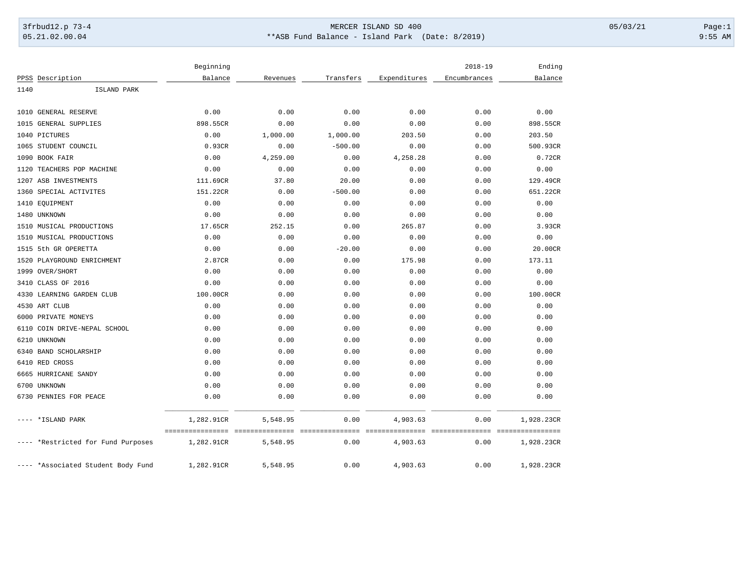## 3frbud12.p 73-4 Page:1 Page:1 05.21.02.00.04 \*\*ASB Fund Balance - Island Park (Date: 8/2019) 9:55 AM

|                                    | Beginning  |          |           |              | $2018 - 19$  | Ending     |
|------------------------------------|------------|----------|-----------|--------------|--------------|------------|
| PPSS Description                   | Balance    | Revenues | Transfers | Expenditures | Encumbrances | Balance    |
| 1140<br>ISLAND PARK                |            |          |           |              |              |            |
|                                    |            |          |           |              |              |            |
| 1010 GENERAL RESERVE               | 0.00       | 0.00     | 0.00      | 0.00         | 0.00         | 0.00       |
| 1015<br>GENERAL SUPPLIES           | 898.55CR   | 0.00     | 0.00      | 0.00         | 0.00         | 898.55CR   |
| 1040 PICTURES                      | 0.00       | 1,000.00 | 1,000.00  | 203.50       | 0.00         | 203.50     |
| 1065 STUDENT COUNCIL               | 0.93CR     | 0.00     | $-500.00$ | 0.00         | 0.00         | 500.93CR   |
| 1090 BOOK FAIR                     | 0.00       | 4,259.00 | 0.00      | 4,258.28     | 0.00         | 0.72CR     |
| TEACHERS POP MACHINE<br>1120       | 0.00       | 0.00     | 0.00      | 0.00         | 0.00         | 0.00       |
| 1207 ASB INVESTMENTS               | 111.69CR   | 37.80    | 20.00     | 0.00         | 0.00         | 129.49CR   |
| 1360 SPECIAL ACTIVITES             | 151.22CR   | 0.00     | $-500.00$ | 0.00         | 0.00         | 651.22CR   |
| 1410 EQUIPMENT                     | 0.00       | 0.00     | 0.00      | 0.00         | 0.00         | 0.00       |
| 1480 UNKNOWN                       | 0.00       | 0.00     | 0.00      | 0.00         | 0.00         | 0.00       |
| 1510 MUSICAL PRODUCTIONS           | 17.65CR    | 252.15   | 0.00      | 265.87       | 0.00         | 3.93CR     |
| 1510 MUSICAL PRODUCTIONS           | 0.00       | 0.00     | 0.00      | 0.00         | 0.00         | 0.00       |
| 1515<br>5th GR OPERETTA            | 0.00       | 0.00     | $-20.00$  | 0.00         | 0.00         | 20.00CR    |
| PLAYGROUND ENRICHMENT<br>1520      | 2.87CR     | 0.00     | 0.00      | 175.98       | 0.00         | 173.11     |
| 1999 OVER/SHORT                    | 0.00       | 0.00     | 0.00      | 0.00         | 0.00         | 0.00       |
| CLASS OF 2016<br>3410              | 0.00       | 0.00     | 0.00      | 0.00         | 0.00         | 0.00       |
| 4330 LEARNING GARDEN CLUB          | 100.00CR   | 0.00     | 0.00      | 0.00         | 0.00         | 100.00CR   |
| 4530 ART CLUB                      | 0.00       | 0.00     | 0.00      | 0.00         | 0.00         | 0.00       |
| 6000 PRIVATE MONEYS                | 0.00       | 0.00     | 0.00      | 0.00         | 0.00         | 0.00       |
| 6110 COIN DRIVE-NEPAL SCHOOL       | 0.00       | 0.00     | 0.00      | 0.00         | 0.00         | 0.00       |
| 6210 UNKNOWN                       | 0.00       | 0.00     | 0.00      | 0.00         | 0.00         | 0.00       |
| 6340 BAND SCHOLARSHIP              | 0.00       | 0.00     | 0.00      | 0.00         | 0.00         | 0.00       |
| 6410 RED CROSS                     | 0.00       | 0.00     | 0.00      | 0.00         | 0.00         | 0.00       |
| 6665 HURRICANE SANDY               | 0.00       | 0.00     | 0.00      | 0.00         | 0.00         | 0.00       |
| 6700 UNKNOWN                       | 0.00       | 0.00     | 0.00      | 0.00         | 0.00         | 0.00       |
| 6730 PENNIES FOR PEACE             | 0.00       | 0.00     | 0.00      | 0.00         | 0.00         | 0.00       |
|                                    |            |          |           |              |              |            |
| *ISLAND PARK                       | 1,282.91CR | 5,548.95 | 0.00      | 4,903.63     | 0.00         | 1,928.23CR |
| *Restricted for Fund Purposes      | 1,282.91CR | 5,548.95 | 0.00      | 4,903.63     | 0.00         | 1,928.23CR |
| ---- *Associated Student Body Fund | 1,282.91CR | 5,548.95 | 0.00      | 4,903.63     | 0.00         | 1,928.23CR |